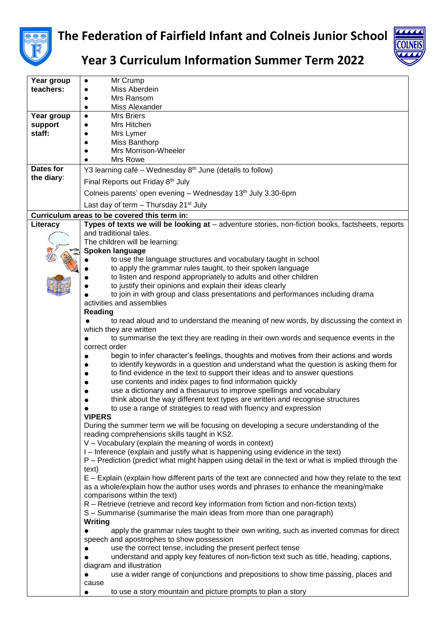



## **Year 3 Curriculum Information Summer Term 2022**

| Year group | Mr Crump                                                                                           |
|------------|----------------------------------------------------------------------------------------------------|
| teachers:  | Miss Aberdein                                                                                      |
|            | Mrs Ransom                                                                                         |
|            | Miss Alexander                                                                                     |
|            | <b>Mrs Briers</b>                                                                                  |
| Year group |                                                                                                    |
| support    | Mrs Hitchen                                                                                        |
| staff:     | Mrs Lymer                                                                                          |
|            | Miss Banthorp                                                                                      |
|            | Mrs Morrison-Wheeler                                                                               |
|            | Mrs Rowe                                                                                           |
| Dates for  | Y3 learning café – Wednesday $8th$ June (details to follow)                                        |
| the diary: | Final Reports out Friday 8th July                                                                  |
|            | Colneis parents' open evening - Wednesday 13 <sup>th</sup> July 3.30-6pm                           |
|            | Last day of term $-$ Thursday 21 <sup>st</sup> July                                                |
|            | Curriculum areas to be covered this term in:                                                       |
| Literacy   | Types of texts we will be looking at - adventure stories, non-fiction books, factsheets, reports   |
|            | and traditional tales.                                                                             |
|            | The children will be learning:                                                                     |
|            | Spoken language                                                                                    |
|            | to use the language structures and vocabulary taught in school                                     |
|            | to apply the grammar rules taught, to their spoken language                                        |
|            | to listen and respond appropriately to adults and other children                                   |
|            | to justify their opinions and explain their ideas clearly                                          |
|            | to join in with group and class presentations and performances including drama                     |
|            | activities and assemblies                                                                          |
|            | Reading                                                                                            |
|            | to read aloud and to understand the meaning of new words, by discussing the context in             |
|            | which they are written                                                                             |
|            | to summarise the text they are reading in their own words and sequence events in the               |
|            | correct order                                                                                      |
|            | begin to infer character's feelings, thoughts and motives from their actions and words             |
|            | to identify keywords in a question and understand what the question is asking them for             |
|            | to find evidence in the text to support their ideas and to answer questions                        |
|            | use contents and index pages to find information quickly                                           |
|            | use a dictionary and a thesaurus to improve spellings and vocabulary                               |
|            | think about the way different text types are written and recognise structures                      |
|            | to use a range of strategies to read with fluency and expression                                   |
|            | <b>VIPERS</b>                                                                                      |
|            | During the summer term we will be focusing on developing a secure understanding of the             |
|            | reading comprehensions skills taught in KS2.                                                       |
|            | V - Vocabulary (explain the meaning of words in context)                                           |
|            | I – Inference (explain and justify what is happening using evidence in the text)                   |
|            | P – Prediction (predict what might happen using detail in the text or what is implied through the  |
|            | text)                                                                                              |
|            | E – Explain (explain how different parts of the text are connected and how they relate to the text |
|            | as a whole/explain how the author uses words and phrases to enhance the meaning/make               |
|            | comparisons within the text)                                                                       |
|            | R – Retrieve (retrieve and record key information from fiction and non-fiction texts)              |
|            | S - Summarise (summarise the main ideas from more than one paragraph)                              |
|            | Writing                                                                                            |
|            | apply the grammar rules taught to their own writing, such as inverted commas for direct            |
|            | speech and apostrophes to show possession                                                          |
|            | use the correct tense, including the present perfect tense<br>$\bullet$                            |
|            | understand and apply key features of non-fiction text such as title, heading, captions,            |
|            | diagram and illustration                                                                           |
|            | use a wider range of conjunctions and prepositions to show time passing, places and<br>$\bullet$   |
|            | cause                                                                                              |
|            | to use a story mountain and picture prompts to plan a story                                        |
|            |                                                                                                    |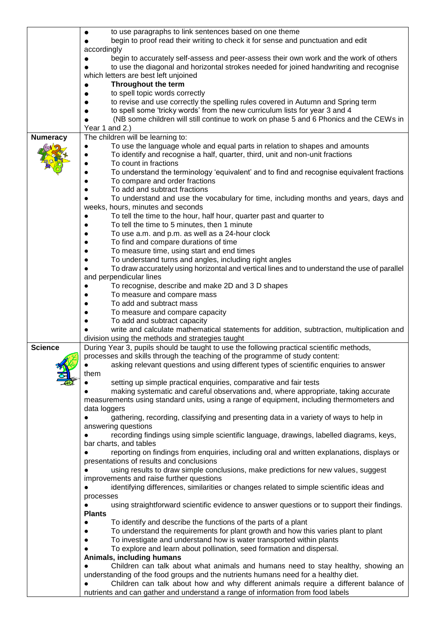|                 | to use paragraphs to link sentences based on one theme                                       |
|-----------------|----------------------------------------------------------------------------------------------|
|                 | begin to proof read their writing to check it for sense and punctuation and edit             |
|                 | accordingly                                                                                  |
|                 | begin to accurately self-assess and peer-assess their own work and the work of others        |
|                 | to use the diagonal and horizontal strokes needed for joined handwriting and recognise       |
|                 | which letters are best left unjoined                                                         |
|                 | Throughout the term                                                                          |
|                 | to spell topic words correctly                                                               |
|                 | to revise and use correctly the spelling rules covered in Autumn and Spring term             |
|                 | to spell some 'tricky words' from the new curriculum lists for year 3 and 4                  |
|                 | (NB some children will still continue to work on phase 5 and 6 Phonics and the CEWs in       |
|                 | Year 1 and 2.)                                                                               |
|                 | The children will be learning to:                                                            |
| <b>Numeracy</b> |                                                                                              |
|                 | To use the language whole and equal parts in relation to shapes and amounts                  |
|                 | To identify and recognise a half, quarter, third, unit and non-unit fractions                |
|                 | To count in fractions                                                                        |
|                 | To understand the terminology 'equivalent' and to find and recognise equivalent fractions    |
|                 | To compare and order fractions                                                               |
|                 | To add and subtract fractions                                                                |
|                 | To understand and use the vocabulary for time, including months and years, days and          |
|                 | weeks, hours, minutes and seconds                                                            |
|                 | To tell the time to the hour, half hour, quarter past and quarter to                         |
|                 | To tell the time to 5 minutes, then 1 minute                                                 |
|                 | To use a.m. and p.m. as well as a 24-hour clock                                              |
|                 | To find and compare durations of time                                                        |
|                 | To measure time, using start and end times                                                   |
|                 | To understand turns and angles, including right angles<br>$\bullet$                          |
|                 | To draw accurately using horizontal and vertical lines and to understand the use of parallel |
|                 | and perpendicular lines                                                                      |
|                 | To recognise, describe and make 2D and 3 D shapes                                            |
|                 | To measure and compare mass                                                                  |
|                 | To add and subtract mass                                                                     |
|                 | To measure and compare capacity                                                              |
|                 | To add and subtract capacity                                                                 |
|                 | write and calculate mathematical statements for addition, subtraction, multiplication and    |
|                 | division using the methods and strategies taught                                             |
| <b>Science</b>  | During Year 3, pupils should be taught to use the following practical scientific methods,    |
|                 | processes and skills through the teaching of the programme of study content:                 |
|                 | asking relevant questions and using different types of scientific enquiries to answer        |
|                 | them                                                                                         |
|                 | setting up simple practical enquiries, comparative and fair tests                            |
|                 | making systematic and careful observations and, where appropriate, taking accurate           |
|                 | measurements using standard units, using a range of equipment, including thermometers and    |
|                 | data loggers                                                                                 |
|                 | gathering, recording, classifying and presenting data in a variety of ways to help in        |
|                 | answering questions                                                                          |
|                 | recording findings using simple scientific language, drawings, labelled diagrams, keys,      |
|                 | bar charts, and tables                                                                       |
|                 | reporting on findings from enquiries, including oral and written explanations, displays or   |
|                 | presentations of results and conclusions                                                     |
|                 | using results to draw simple conclusions, make predictions for new values, suggest           |
|                 | improvements and raise further questions                                                     |
|                 | identifying differences, similarities or changes related to simple scientific ideas and      |
|                 |                                                                                              |
|                 | processes                                                                                    |
|                 | using straightforward scientific evidence to answer questions or to support their findings.  |
|                 | <b>Plants</b>                                                                                |
|                 | To identify and describe the functions of the parts of a plant<br>$\bullet$                  |
|                 | To understand the requirements for plant growth and how this varies plant to plant           |
|                 | To investigate and understand how is water transported within plants                         |
|                 | To explore and learn about pollination, seed formation and dispersal.                        |
|                 | Animals, including humans                                                                    |
|                 | Children can talk about what animals and humans need to stay healthy, showing an             |
|                 | understanding of the food groups and the nutrients humans need for a healthy diet.           |
|                 | Children can talk about how and why different animals require a different balance of         |
|                 | nutrients and can gather and understand a range of information from food labels              |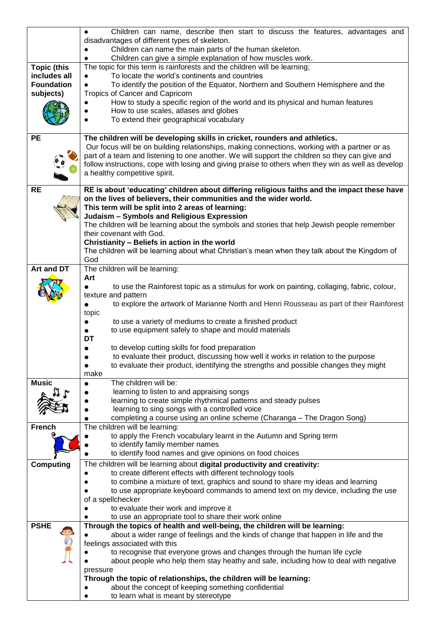|                    | Children can name, describe then start to discuss the features, advantages and                                                                                                                       |
|--------------------|------------------------------------------------------------------------------------------------------------------------------------------------------------------------------------------------------|
|                    | disadvantages of different types of skeleton.                                                                                                                                                        |
|                    | Children can name the main parts of the human skeleton.<br>Children can give a simple explanation of how muscles work.                                                                               |
| <b>Topic (this</b> | The topic for this term is rainforests and the children will be learning;                                                                                                                            |
| includes all       | To locate the world's continents and countries                                                                                                                                                       |
| <b>Foundation</b>  | To identify the position of the Equator, Northern and Southern Hemisphere and the                                                                                                                    |
| subjects)          | Tropics of Cancer and Capricorn                                                                                                                                                                      |
|                    | How to study a specific region of the world and its physical and human features<br>How to use scales, atlases and globes                                                                             |
|                    | To extend their geographical vocabulary                                                                                                                                                              |
|                    |                                                                                                                                                                                                      |
| <b>PE</b>          | The children will be developing skills in cricket, rounders and athletics.                                                                                                                           |
|                    | Our focus will be on building relationships, making connections, working with a partner or as                                                                                                        |
|                    | part of a team and listening to one another. We will support the children so they can give and<br>follow instructions, cope with losing and giving praise to others when they win as well as develop |
|                    | a healthy competitive spirit.                                                                                                                                                                        |
|                    |                                                                                                                                                                                                      |
| <b>RE</b>          | RE is about 'educating' children about differing religious faiths and the impact these have                                                                                                          |
|                    | on the lives of believers, their communities and the wider world.<br>This term will be split into 2 areas of learning:                                                                               |
|                    | Judaism - Symbols and Religious Expression                                                                                                                                                           |
|                    | The children will be learning about the symbols and stories that help Jewish people remember                                                                                                         |
|                    | their covenant with God.                                                                                                                                                                             |
|                    | Christianity - Beliefs in action in the world                                                                                                                                                        |
|                    | The children will be learning about what Christian's mean when they talk about the Kingdom of                                                                                                        |
| Art and DT         | God<br>The children will be learning:                                                                                                                                                                |
|                    | Art                                                                                                                                                                                                  |
|                    | to use the Rainforest topic as a stimulus for work on painting, collaging, fabric, colour,                                                                                                           |
|                    | texture and pattern                                                                                                                                                                                  |
|                    | to explore the artwork of Marianne North and Henri Rousseau as part of their Rainforest<br>$\bullet$                                                                                                 |
|                    | topic<br>to use a variety of mediums to create a finished product<br>$\bullet$                                                                                                                       |
|                    | to use equipment safely to shape and mould materials<br>$\bullet$                                                                                                                                    |
|                    | DT                                                                                                                                                                                                   |
|                    | to develop cutting skills for food preparation                                                                                                                                                       |
|                    | to evaluate their product, discussing how well it works in relation to the purpose                                                                                                                   |
|                    | to evaluate their product, identifying the strengths and possible changes they might<br>$\bullet$<br>make                                                                                            |
| <b>Music</b>       | The children will be:<br>$\bullet$                                                                                                                                                                   |
|                    | learning to listen to and appraising songs                                                                                                                                                           |
|                    | learning to create simple rhythmical patterns and steady pulses                                                                                                                                      |
|                    | learning to sing songs with a controlled voice                                                                                                                                                       |
| <b>French</b>      | completing a course using an online scheme (Charanga - The Dragon Song)<br>The children will be learning:                                                                                            |
|                    | to apply the French vocabulary learnt in the Autumn and Spring term                                                                                                                                  |
|                    | to identify family member names                                                                                                                                                                      |
|                    | to identify food names and give opinions on food choices                                                                                                                                             |
| <b>Computing</b>   | The children will be learning about digital productivity and creativity:                                                                                                                             |
|                    | to create different effects with different technology tools                                                                                                                                          |
|                    | to combine a mixture of text, graphics and sound to share my ideas and learning<br>to use appropriate keyboard commands to amend text on my device, including the use                                |
|                    | of a spellchecker                                                                                                                                                                                    |
|                    | to evaluate their work and improve it                                                                                                                                                                |
|                    | to use an appropriate tool to share their work online                                                                                                                                                |
| <b>PSHE</b>        | Through the topics of health and well-being, the children will be learning:                                                                                                                          |
|                    | about a wider range of feelings and the kinds of change that happen in life and the<br>feelings associated with this                                                                                 |
|                    | to recognise that everyone grows and changes through the human life cycle                                                                                                                            |
|                    | about people who help them stay heathy and safe, including how to deal with negative                                                                                                                 |
|                    | pressure                                                                                                                                                                                             |
|                    | Through the topic of relationships, the children will be learning:                                                                                                                                   |
|                    | about the concept of keeping something confidential                                                                                                                                                  |
|                    | to learn what is meant by stereotype                                                                                                                                                                 |